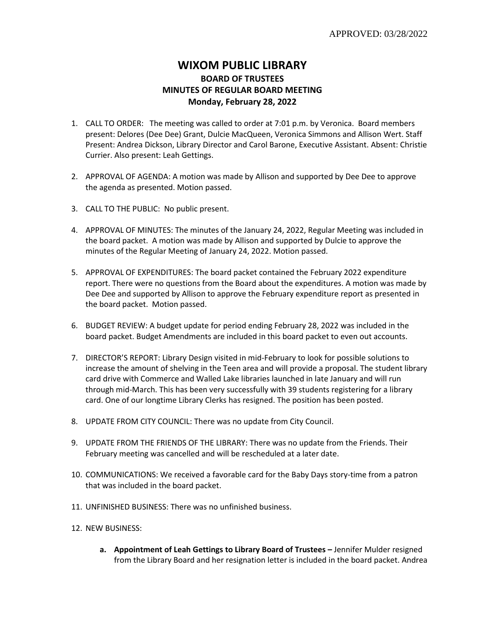## **WIXOM PUBLIC LIBRARY BOARD OF TRUSTEES MINUTES OF REGULAR BOARD MEETING Monday, February 28, 2022**

- 1. CALL TO ORDER: The meeting was called to order at 7:01 p.m. by Veronica. Board members present: Delores (Dee Dee) Grant, Dulcie MacQueen, Veronica Simmons and Allison Wert. Staff Present: Andrea Dickson, Library Director and Carol Barone, Executive Assistant. Absent: Christie Currier. Also present: Leah Gettings.
- 2. APPROVAL OF AGENDA: A motion was made by Allison and supported by Dee Dee to approve the agenda as presented. Motion passed.
- 3. CALL TO THE PUBLIC: No public present.
- 4. APPROVAL OF MINUTES: The minutes of the January 24, 2022, Regular Meeting was included in the board packet. A motion was made by Allison and supported by Dulcie to approve the minutes of the Regular Meeting of January 24, 2022. Motion passed.
- 5. APPROVAL OF EXPENDITURES: The board packet contained the February 2022 expenditure report. There were no questions from the Board about the expenditures. A motion was made by Dee Dee and supported by Allison to approve the February expenditure report as presented in the board packet. Motion passed.
- 6. BUDGET REVIEW: A budget update for period ending February 28, 2022 was included in the board packet. Budget Amendments are included in this board packet to even out accounts.
- 7. DIRECTOR'S REPORT: Library Design visited in mid-February to look for possible solutions to increase the amount of shelving in the Teen area and will provide a proposal. The student library card drive with Commerce and Walled Lake libraries launched in late January and will run through mid-March. This has been very successfully with 39 students registering for a library card. One of our longtime Library Clerks has resigned. The position has been posted.
- 8. UPDATE FROM CITY COUNCIL: There was no update from City Council.
- 9. UPDATE FROM THE FRIENDS OF THE LIBRARY: There was no update from the Friends. Their February meeting was cancelled and will be rescheduled at a later date.
- 10. COMMUNICATIONS: We received a favorable card for the Baby Days story-time from a patron that was included in the board packet.
- 11. UNFINISHED BUSINESS: There was no unfinished business.
- 12. NEW BUSINESS:
	- **a. Appointment of Leah Gettings to Library Board of Trustees –** Jennifer Mulder resigned from the Library Board and her resignation letter is included in the board packet. Andrea